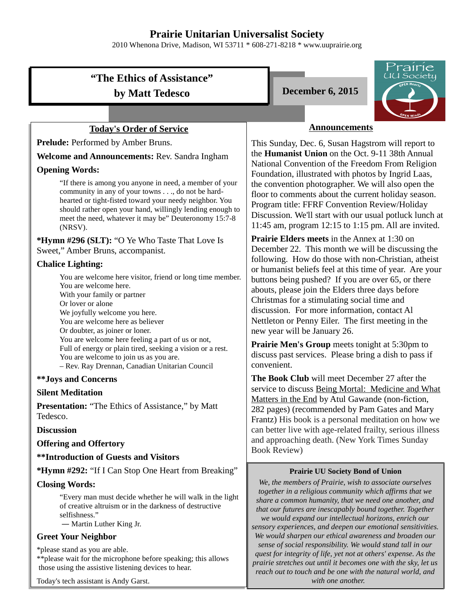## **Prairie Unitarian Universalist Society**

2010 Whenona Drive, Madison, WI 53711 \* 608-271-8218 \* www.uuprairie.org

# **"The Ethics of Assistance" by Matt Tedesco December 6, 2015**

### **Today's Order of Service**

Prelude: Performed by Amber Bruns.

#### **Welcome and Announcements:** Rev. Sandra Ingham

#### **Opening Words:**

"If there is among you anyone in need, a member of your community in any of your towns . . ., do not be hardhearted or tight-fisted toward your needy neighbor. You should rather open your hand, willingly lending enough to meet the need, whatever it may be" Deuteronomy 15:7-8 (NRSV).

**\*Hymn #296 (SLT):** "O Ye Who Taste That Love Is Sweet," Amber Bruns, accompanist.

#### **Chalice Lighting:**

You are welcome here visitor, friend or long time member. You are welcome here. With your family or partner Or lover or alone We joyfully welcome you here. You are welcome here as believer Or doubter, as joiner or loner. You are welcome here feeling a part of us or not, Full of energy or plain tired, seeking a vision or a rest. You are welcome to join us as you are. – Rev. Ray Drennan, Canadian Unitarian Council

#### **\*\*Joys and Concerns**

#### **Silent Meditation**

Presentation: "The Ethics of Assistance," by Matt Tedesco.

#### **Discussion**

#### **Offering and Offertory**

#### **\*\*Introduction of Guests and Visitors**

**\*Hymn #292:** "If I Can Stop One Heart from Breaking"

#### **Closing Words:**

"Every man must decide whether he will walk in the light of creative altruism or in the darkness of destructive selfishness."

― Martin Luther King Jr.

#### **Greet Your Neighbor**

\*please stand as you are able.

\*\*please wait for the microphone before speaking; this allows those using the assistive listening devices to hear.

Today's tech assistant is Andy Garst.





## **Announcements**

This Sunday, Dec. 6, Susan Hagstrom will report to the **Humanist Union** on the Oct. 9-11 38th Annual National Convention of the Freedom From Religion Foundation, illustrated with photos by Ingrid Laas, the convention photographer. We will also open the floor to comments about the current holiday season. Program title: FFRF Convention Review/Holiday Discussion. We'll start with our usual potluck lunch at 11:45 am, program 12:15 to 1:15 pm. All are invited.

**Prairie Elders meets** in the Annex at 1:30 on December 22. This month we will be discussing the following. How do those with non-Christian, atheist or humanist beliefs feel at this time of year. Are your buttons being pushed? If you are over 65, or there abouts, please join the Elders three days before Christmas for a stimulating social time and discussion. For more information, contact Al Nettleton or Penny Eiler. The first meeting in the new year will be January 26.

**Prairie Men's Group** meets tonight at 5:30pm to discuss past services. Please bring a dish to pass if convenient.

**The Book Club** will meet December 27 after the service to discuss Being Mortal: Medicine and What Matters in the End by Atul Gawande (non-fiction, 282 pages) (recommended by Pam Gates and Mary Frantz) His book is a personal meditation on how we can better live with age-related frailty, serious illness and approaching death. (New York Times Sunday Book Review)

#### **Prairie UU Society Bond of Union**

*We, the members of Prairie, wish to associate ourselves together in a religious community which affirms that we share a common humanity, that we need one another, and that our futures are inescapably bound together. Together we would expand our intellectual horizons, enrich our sensory experiences, and deepen our emotional sensitivities. We would sharpen our ethical awareness and broaden our sense of social responsibility. We would stand tall in our quest for integrity of life, yet not at others' expense. As the prairie stretches out until it becomes one with the sky, let us reach out to touch and be one with the natural world, and with one another.*